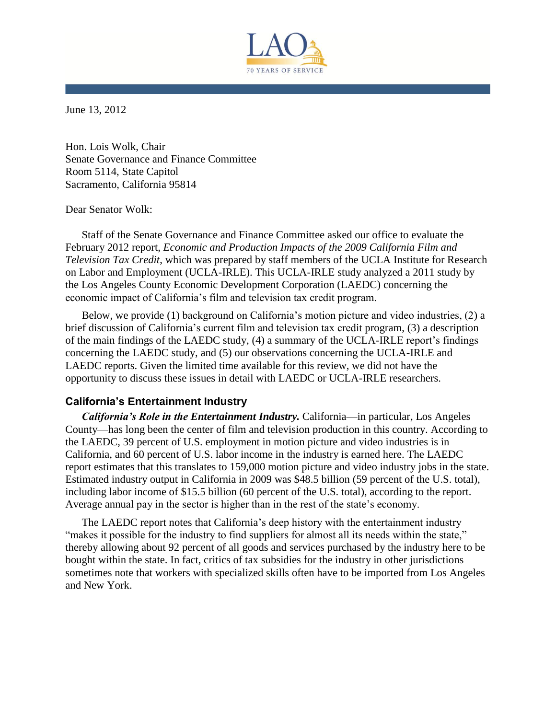

June 13, 2012

Hon. Lois Wolk, Chair Senate Governance and Finance Committee Room 5114, State Capitol Sacramento, California 95814

#### Dear Senator Wolk:

Staff of the Senate Governance and Finance Committee asked our office to evaluate the February 2012 report, *Economic and Production Impacts of the 2009 California Film and Television Tax Credit*, which was prepared by staff members of the UCLA Institute for Research on Labor and Employment (UCLA-IRLE). This UCLA-IRLE study analyzed a 2011 study by the Los Angeles County Economic Development Corporation (LAEDC) concerning the economic impact of California's film and television tax credit program.

Below, we provide (1) background on California's motion picture and video industries, (2) a brief discussion of California's current film and television tax credit program, (3) a description of the main findings of the LAEDC study, (4) a summary of the UCLA-IRLE report's findings concerning the LAEDC study, and (5) our observations concerning the UCLA-IRLE and LAEDC reports. Given the limited time available for this review, we did not have the opportunity to discuss these issues in detail with LAEDC or UCLA-IRLE researchers.

# **California's Entertainment Industry**

*California's Role in the Entertainment Industry.* California—in particular, Los Angeles County—has long been the center of film and television production in this country. According to the LAEDC, 39 percent of U.S. employment in motion picture and video industries is in California, and 60 percent of U.S. labor income in the industry is earned here. The LAEDC report estimates that this translates to 159,000 motion picture and video industry jobs in the state. Estimated industry output in California in 2009 was \$48.5 billion (59 percent of the U.S. total), including labor income of \$15.5 billion (60 percent of the U.S. total), according to the report. Average annual pay in the sector is higher than in the rest of the state's economy.

The LAEDC report notes that California's deep history with the entertainment industry "makes it possible for the industry to find suppliers for almost all its needs within the state," thereby allowing about 92 percent of all goods and services purchased by the industry here to be bought within the state. In fact, critics of tax subsidies for the industry in other jurisdictions sometimes note that workers with specialized skills often have to be imported from Los Angeles and New York.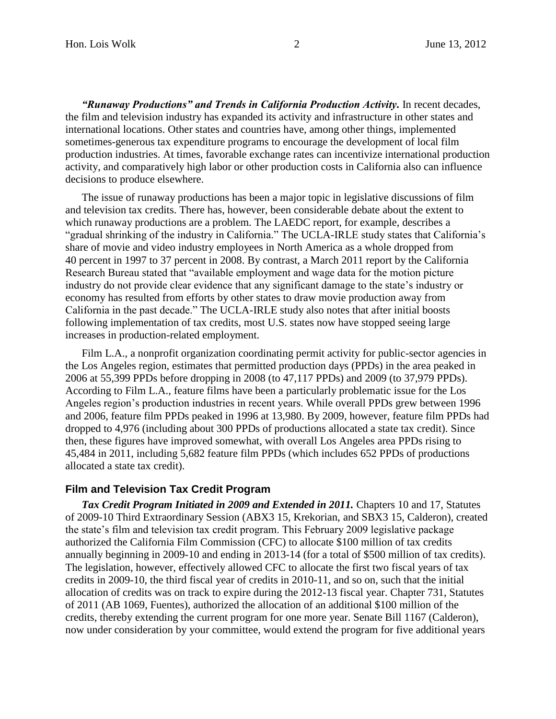"Runaway Productions" and Trends in California Production Activity. In recent decades, the film and television industry has expanded its activity and infrastructure in other states and international locations. Other states and countries have, among other things, implemented sometimes-generous tax expenditure programs to encourage the development of local film production industries. At times, favorable exchange rates can incentivize international production activity, and comparatively high labor or other production costs in California also can influence decisions to produce elsewhere.

The issue of runaway productions has been a major topic in legislative discussions of film and television tax credits. There has, however, been considerable debate about the extent to which runaway productions are a problem. The LAEDC report, for example, describes a "gradual shrinking of the industry in California." The UCLA-IRLE study states that California's share of movie and video industry employees in North America as a whole dropped from 40 percent in 1997 to 37 percent in 2008. By contrast, a March 2011 report by the California Research Bureau stated that "available employment and wage data for the motion picture industry do not provide clear evidence that any significant damage to the state's industry or economy has resulted from efforts by other states to draw movie production away from California in the past decade." The UCLA-IRLE study also notes that after initial boosts following implementation of tax credits, most U.S. states now have stopped seeing large increases in production-related employment.

Film L.A., a nonprofit organization coordinating permit activity for public-sector agencies in the Los Angeles region, estimates that permitted production days (PPDs) in the area peaked in 2006 at 55,399 PPDs before dropping in 2008 (to 47,117 PPDs) and 2009 (to 37,979 PPDs). According to Film L.A., feature films have been a particularly problematic issue for the Los Angeles region's production industries in recent years. While overall PPDs grew between 1996 and 2006, feature film PPDs peaked in 1996 at 13,980. By 2009, however, feature film PPDs had dropped to 4,976 (including about 300 PPDs of productions allocated a state tax credit). Since then, these figures have improved somewhat, with overall Los Angeles area PPDs rising to 45,484 in 2011, including 5,682 feature film PPDs (which includes 652 PPDs of productions allocated a state tax credit).

## **Film and Television Tax Credit Program**

Tax Credit Program Initiated in 2009 and Extended in 2011. Chapters 10 and 17, Statutes of 2009-10 Third Extraordinary Session (ABX3 15, Krekorian, and SBX3 15, Calderon), created the state's film and television tax credit program. This February 2009 legislative package authorized the California Film Commission (CFC) to allocate \$100 million of tax credits annually beginning in 2009-10 and ending in 2013-14 (for a total of \$500 million of tax credits). The legislation, however, effectively allowed CFC to allocate the first two fiscal years of tax credits in 2009-10, the third fiscal year of credits in 2010-11, and so on, such that the initial allocation of credits was on track to expire during the 2012-13 fiscal year. Chapter 731, Statutes of 2011 (AB 1069, Fuentes), authorized the allocation of an additional \$100 million of the credits, thereby extending the current program for one more year. Senate Bill 1167 (Calderon), now under consideration by your committee, would extend the program for five additional years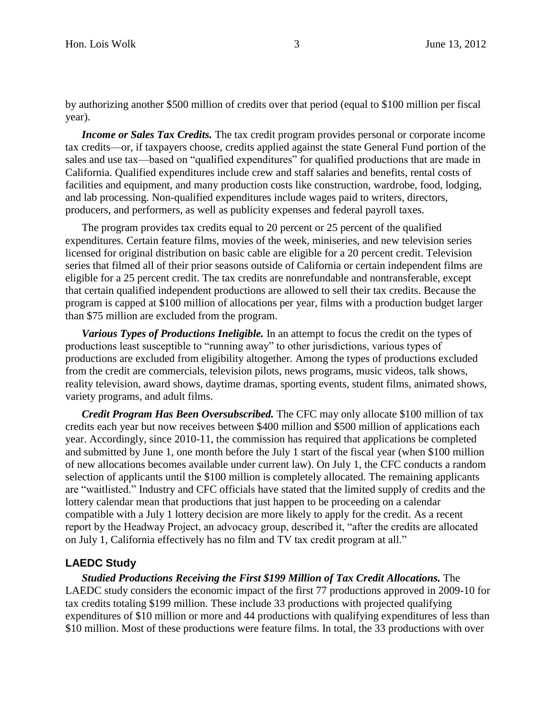by authorizing another \$500 million of credits over that period (equal to \$100 million per fiscal year).

*Income or Sales Tax Credits.* The tax credit program provides personal or corporate income tax credits—or, if taxpayers choose, credits applied against the state General Fund portion of the sales and use tax—based on "qualified expenditures" for qualified productions that are made in California. Qualified expenditures include crew and staff salaries and benefits, rental costs of facilities and equipment, and many production costs like construction, wardrobe, food, lodging, and lab processing. Non-qualified expenditures include wages paid to writers, directors, producers, and performers, as well as publicity expenses and federal payroll taxes.

The program provides tax credits equal to 20 percent or 25 percent of the qualified expenditures. Certain feature films, movies of the week, miniseries, and new television series licensed for original distribution on basic cable are eligible for a 20 percent credit. Television series that filmed all of their prior seasons outside of California or certain independent films are eligible for a 25 percent credit. The tax credits are nonrefundable and nontransferable, except that certain qualified independent productions are allowed to sell their tax credits. Because the program is capped at \$100 million of allocations per year, films with a production budget larger than \$75 million are excluded from the program.

*Various Types of Productions Ineligible.* In an attempt to focus the credit on the types of productions least susceptible to "running away" to other jurisdictions, various types of productions are excluded from eligibility altogether. Among the types of productions excluded from the credit are commercials, television pilots, news programs, music videos, talk shows, reality television, award shows, daytime dramas, sporting events, student films, animated shows, variety programs, and adult films.

*Credit Program Has Been Oversubscribed.* The CFC may only allocate \$100 million of tax credits each year but now receives between \$400 million and \$500 million of applications each year. Accordingly, since 2010-11, the commission has required that applications be completed and submitted by June 1, one month before the July 1 start of the fiscal year (when \$100 million of new allocations becomes available under current law). On July 1, the CFC conducts a random selection of applicants until the \$100 million is completely allocated. The remaining applicants are "waitlisted." Industry and CFC officials have stated that the limited supply of credits and the lottery calendar mean that productions that just happen to be proceeding on a calendar compatible with a July 1 lottery decision are more likely to apply for the credit. As a recent report by the Headway Project, an advocacy group, described it, "after the credits are allocated on July 1, California effectively has no film and TV tax credit program at all."

### **LAEDC Study**

*Studied Productions Receiving the First \$199 Million of Tax Credit Allocations.* The LAEDC study considers the economic impact of the first 77 productions approved in 2009-10 for tax credits totaling \$199 million. These include 33 productions with projected qualifying expenditures of \$10 million or more and 44 productions with qualifying expenditures of less than \$10 million. Most of these productions were feature films. In total, the 33 productions with over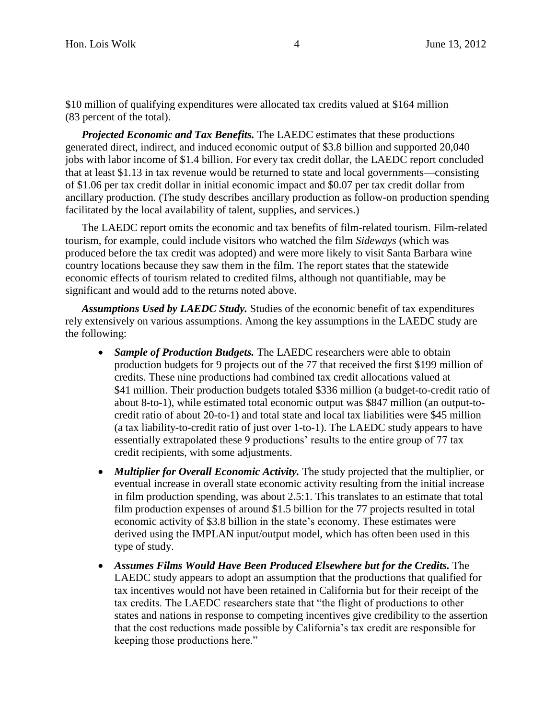\$10 million of qualifying expenditures were allocated tax credits valued at \$164 million (83 percent of the total).

*Projected Economic and Tax Benefits.* The LAEDC estimates that these productions generated direct, indirect, and induced economic output of \$3.8 billion and supported 20,040 jobs with labor income of \$1.4 billion. For every tax credit dollar, the LAEDC report concluded that at least \$1.13 in tax revenue would be returned to state and local governments—consisting of \$1.06 per tax credit dollar in initial economic impact and \$0.07 per tax credit dollar from ancillary production. (The study describes ancillary production as follow-on production spending facilitated by the local availability of talent, supplies, and services.)

The LAEDC report omits the economic and tax benefits of film-related tourism. Film-related tourism, for example, could include visitors who watched the film *Sideways* (which was produced before the tax credit was adopted) and were more likely to visit Santa Barbara wine country locations because they saw them in the film. The report states that the statewide economic effects of tourism related to credited films, although not quantifiable, may be significant and would add to the returns noted above.

*Assumptions Used by LAEDC Study.* Studies of the economic benefit of tax expenditures rely extensively on various assumptions. Among the key assumptions in the LAEDC study are the following:

- *Sample of Production Budgets*. The LAEDC researchers were able to obtain production budgets for 9 projects out of the 77 that received the first \$199 million of credits. These nine productions had combined tax credit allocations valued at \$41 million. Their production budgets totaled \$336 million (a budget-to-credit ratio of about 8-to-1), while estimated total economic output was \$847 million (an output-tocredit ratio of about 20-to-1) and total state and local tax liabilities were \$45 million (a tax liability-to-credit ratio of just over 1-to-1). The LAEDC study appears to have essentially extrapolated these 9 productions' results to the entire group of 77 tax credit recipients, with some adjustments.
- *Multiplier for Overall Economic Activity.* The study projected that the multiplier, or eventual increase in overall state economic activity resulting from the initial increase in film production spending, was about 2.5:1. This translates to an estimate that total film production expenses of around \$1.5 billion for the 77 projects resulted in total economic activity of \$3.8 billion in the state's economy. These estimates were derived using the IMPLAN input/output model, which has often been used in this type of study.
- *Assumes Films Would Have Been Produced Elsewhere but for the Credits.* The LAEDC study appears to adopt an assumption that the productions that qualified for tax incentives would not have been retained in California but for their receipt of the tax credits. The LAEDC researchers state that "the flight of productions to other states and nations in response to competing incentives give credibility to the assertion that the cost reductions made possible by California's tax credit are responsible for keeping those productions here."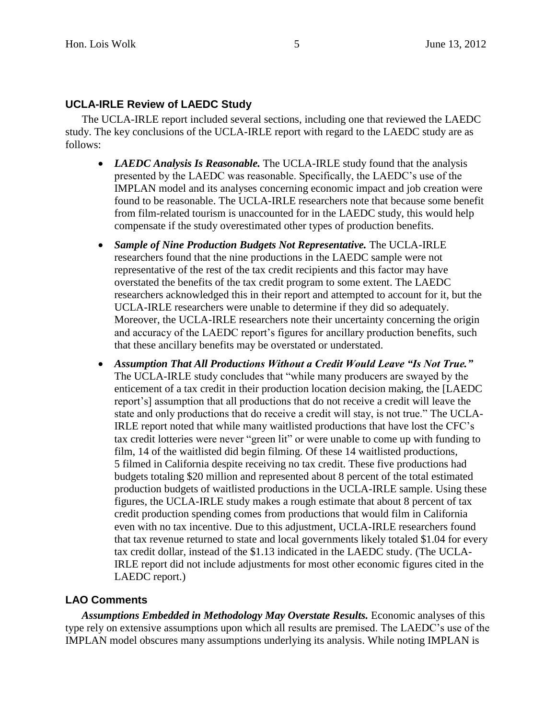# **UCLA-IRLE Review of LAEDC Study**

The UCLA-IRLE report included several sections, including one that reviewed the LAEDC study. The key conclusions of the UCLA-IRLE report with regard to the LAEDC study are as follows:

- *LAEDC Analysis Is Reasonable.* The UCLA-IRLE study found that the analysis presented by the LAEDC was reasonable. Specifically, the LAEDC's use of the IMPLAN model and its analyses concerning economic impact and job creation were found to be reasonable. The UCLA-IRLE researchers note that because some benefit from film-related tourism is unaccounted for in the LAEDC study, this would help compensate if the study overestimated other types of production benefits.
- *Sample of Nine Production Budgets Not Representative.* The UCLA-IRLE researchers found that the nine productions in the LAEDC sample were not representative of the rest of the tax credit recipients and this factor may have overstated the benefits of the tax credit program to some extent. The LAEDC researchers acknowledged this in their report and attempted to account for it, but the UCLA-IRLE researchers were unable to determine if they did so adequately. Moreover, the UCLA-IRLE researchers note their uncertainty concerning the origin and accuracy of the LAEDC report's figures for ancillary production benefits, such that these ancillary benefits may be overstated or understated.
- *Assumption That All Productions Without a Credit Would Leave "Is Not True."*  The UCLA-IRLE study concludes that "while many producers are swayed by the enticement of a tax credit in their production location decision making, the [LAEDC report's] assumption that all productions that do not receive a credit will leave the state and only productions that do receive a credit will stay, is not true." The UCLA-IRLE report noted that while many waitlisted productions that have lost the CFC's tax credit lotteries were never "green lit" or were unable to come up with funding to film, 14 of the waitlisted did begin filming. Of these 14 waitlisted productions, 5 filmed in California despite receiving no tax credit. These five productions had budgets totaling \$20 million and represented about 8 percent of the total estimated production budgets of waitlisted productions in the UCLA-IRLE sample. Using these figures, the UCLA-IRLE study makes a rough estimate that about 8 percent of tax credit production spending comes from productions that would film in California even with no tax incentive. Due to this adjustment, UCLA-IRLE researchers found that tax revenue returned to state and local governments likely totaled \$1.04 for every tax credit dollar, instead of the \$1.13 indicated in the LAEDC study. (The UCLA-IRLE report did not include adjustments for most other economic figures cited in the LAEDC report.)

### **LAO Comments**

*Assumptions Embedded in Methodology May Overstate Results.* Economic analyses of this type rely on extensive assumptions upon which all results are premised. The LAEDC's use of the IMPLAN model obscures many assumptions underlying its analysis. While noting IMPLAN is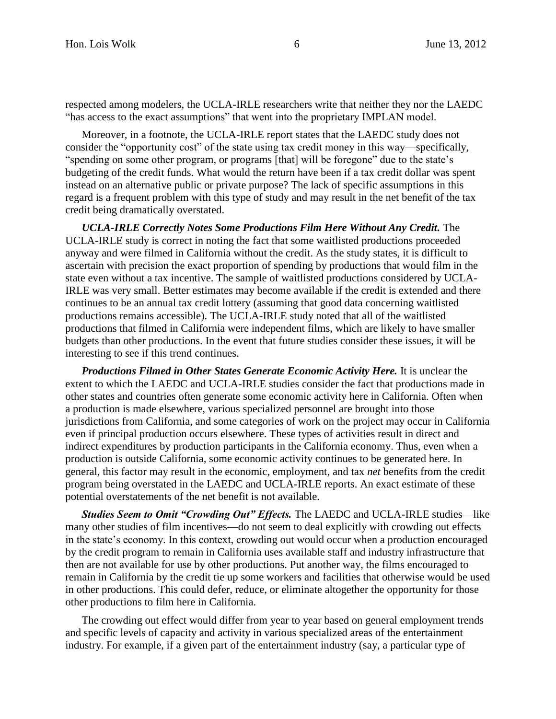respected among modelers, the UCLA-IRLE researchers write that neither they nor the LAEDC "has access to the exact assumptions" that went into the proprietary IMPLAN model.

Moreover, in a footnote, the UCLA-IRLE report states that the LAEDC study does not consider the "opportunity cost" of the state using tax credit money in this way—specifically, "spending on some other program, or programs [that] will be foregone" due to the state's budgeting of the credit funds. What would the return have been if a tax credit dollar was spent instead on an alternative public or private purpose? The lack of specific assumptions in this regard is a frequent problem with this type of study and may result in the net benefit of the tax credit being dramatically overstated.

*UCLA-IRLE Correctly Notes Some Productions Film Here Without Any Credit.* The UCLA-IRLE study is correct in noting the fact that some waitlisted productions proceeded anyway and were filmed in California without the credit. As the study states, it is difficult to ascertain with precision the exact proportion of spending by productions that would film in the state even without a tax incentive. The sample of waitlisted productions considered by UCLA-IRLE was very small. Better estimates may become available if the credit is extended and there continues to be an annual tax credit lottery (assuming that good data concerning waitlisted productions remains accessible). The UCLA-IRLE study noted that all of the waitlisted productions that filmed in California were independent films, which are likely to have smaller budgets than other productions. In the event that future studies consider these issues, it will be interesting to see if this trend continues.

*Productions Filmed in Other States Generate Economic Activity Here.* It is unclear the extent to which the LAEDC and UCLA-IRLE studies consider the fact that productions made in other states and countries often generate some economic activity here in California. Often when a production is made elsewhere, various specialized personnel are brought into those jurisdictions from California, and some categories of work on the project may occur in California even if principal production occurs elsewhere. These types of activities result in direct and indirect expenditures by production participants in the California economy. Thus, even when a production is outside California, some economic activity continues to be generated here. In general, this factor may result in the economic, employment, and tax *net* benefits from the credit program being overstated in the LAEDC and UCLA-IRLE reports. An exact estimate of these potential overstatements of the net benefit is not available.

*Studies Seem to Omit "Crowding Out" Effects.* The LAEDC and UCLA-IRLE studies—like many other studies of film incentives—do not seem to deal explicitly with crowding out effects in the state's economy. In this context, crowding out would occur when a production encouraged by the credit program to remain in California uses available staff and industry infrastructure that then are not available for use by other productions. Put another way, the films encouraged to remain in California by the credit tie up some workers and facilities that otherwise would be used in other productions. This could defer, reduce, or eliminate altogether the opportunity for those other productions to film here in California.

The crowding out effect would differ from year to year based on general employment trends and specific levels of capacity and activity in various specialized areas of the entertainment industry. For example, if a given part of the entertainment industry (say, a particular type of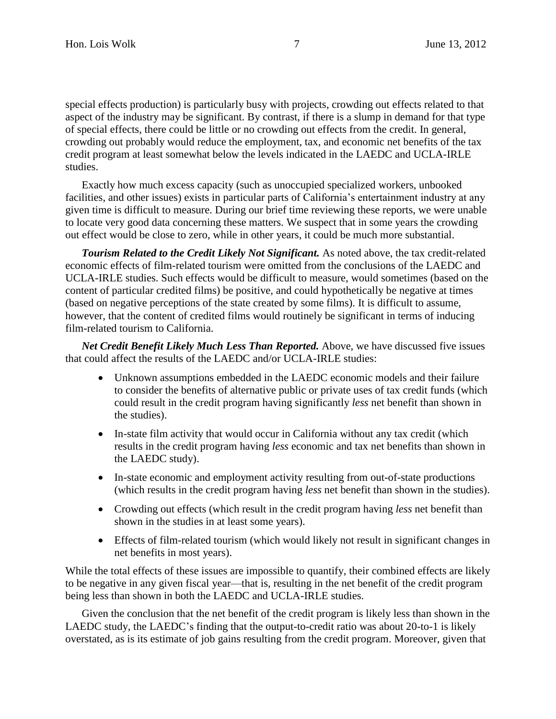special effects production) is particularly busy with projects, crowding out effects related to that aspect of the industry may be significant. By contrast, if there is a slump in demand for that type of special effects, there could be little or no crowding out effects from the credit. In general, crowding out probably would reduce the employment, tax, and economic net benefits of the tax credit program at least somewhat below the levels indicated in the LAEDC and UCLA-IRLE studies.

Exactly how much excess capacity (such as unoccupied specialized workers, unbooked facilities, and other issues) exists in particular parts of California's entertainment industry at any given time is difficult to measure. During our brief time reviewing these reports, we were unable to locate very good data concerning these matters. We suspect that in some years the crowding out effect would be close to zero, while in other years, it could be much more substantial.

*Tourism Related to the Credit Likely Not Significant.* As noted above, the tax credit-related economic effects of film-related tourism were omitted from the conclusions of the LAEDC and UCLA-IRLE studies. Such effects would be difficult to measure, would sometimes (based on the content of particular credited films) be positive, and could hypothetically be negative at times (based on negative perceptions of the state created by some films). It is difficult to assume, however, that the content of credited films would routinely be significant in terms of inducing film-related tourism to California.

*Net Credit Benefit Likely Much Less Than Reported.* Above, we have discussed five issues that could affect the results of the LAEDC and/or UCLA-IRLE studies:

- Unknown assumptions embedded in the LAEDC economic models and their failure to consider the benefits of alternative public or private uses of tax credit funds (which could result in the credit program having significantly *less* net benefit than shown in the studies).
- In-state film activity that would occur in California without any tax credit (which results in the credit program having *less* economic and tax net benefits than shown in the LAEDC study).
- In-state economic and employment activity resulting from out-of-state productions (which results in the credit program having *less* net benefit than shown in the studies).
- Crowding out effects (which result in the credit program having *less* net benefit than shown in the studies in at least some years).
- Effects of film-related tourism (which would likely not result in significant changes in net benefits in most years).

While the total effects of these issues are impossible to quantify, their combined effects are likely to be negative in any given fiscal year—that is, resulting in the net benefit of the credit program being less than shown in both the LAEDC and UCLA-IRLE studies.

Given the conclusion that the net benefit of the credit program is likely less than shown in the LAEDC study, the LAEDC's finding that the output-to-credit ratio was about 20-to-1 is likely overstated, as is its estimate of job gains resulting from the credit program. Moreover, given that